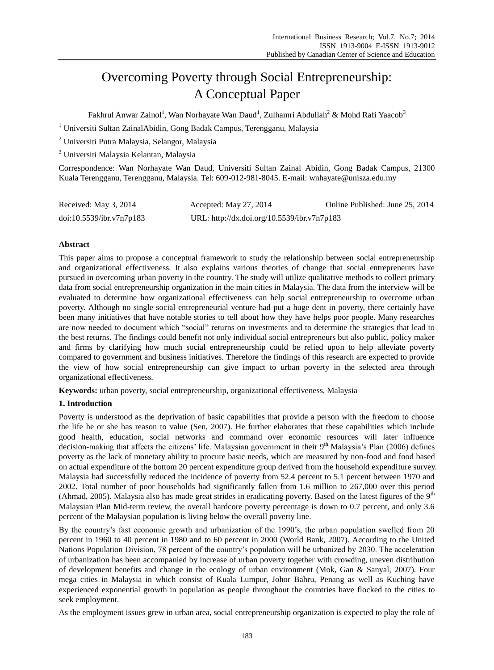# Overcoming Poverty through Social Entrepreneurship: A Conceptual Paper

Fakhrul Anwar Zainol<sup>1</sup>, Wan Norhayate Wan Daud<sup>1</sup>, Zulhamri Abdullah<sup>2</sup> & Mohd Rafi Yaacob<sup>3</sup>

- <sup>1</sup> Universiti Sultan ZainalAbidin, Gong Badak Campus, Terengganu, Malaysia
- <sup>2</sup> Universiti Putra Malaysia, Selangor, Malaysia
- <sup>3</sup> Universiti Malaysia Kelantan, Malaysia

Correspondence: Wan Norhayate Wan Daud, Universiti Sultan Zainal Abidin, Gong Badak Campus, 21300 Kuala Terengganu, Terengganu, Malaysia. Tel: 609-012-981-8045. E-mail: wnhayate@unisza.edu.my

| Received: May 3, 2014    | Accepted: May 27, 2014                      | Online Published: June 25, 2014 |
|--------------------------|---------------------------------------------|---------------------------------|
| doi:10.5539/ibr.v7n7p183 | URL: http://dx.doi.org/10.5539/ibr.v7n7p183 |                                 |

# **Abstract**

This paper aims to propose a conceptual framework to study the relationship between social entrepreneurship and organizational effectiveness. It also explains various theories of change that social entrepreneurs have pursued in overcoming urban poverty in the country. The study will utilize qualitative methods to collect primary data from social entrepreneurship organization in the main cities in Malaysia. The data from the interview will be evaluated to determine how organizational effectiveness can help social entrepreneurship to overcome urban poverty. Although no single social entrepreneurial venture had put a huge dent in poverty, there certainly have been many initiatives that have notable stories to tell about how they have helps poor people. Many researches are now needed to document which "social" returns on investments and to determine the strategies that lead to the best returns. The findings could benefit not only individual social entrepreneurs but also public, policy maker and firms by clarifying how much social entrepreneurship could be relied upon to help alleviate poverty compared to government and business initiatives. Therefore the findings of this research are expected to provide the view of how social entrepreneurship can give impact to urban poverty in the selected area through organizational effectiveness.

**Keywords:** urban poverty, social entrepreneurship, organizational effectiveness, Malaysia

## **1. Introduction**

Poverty is understood as the deprivation of basic capabilities that provide a person with the freedom to choose the life he or she has reason to value (Sen, 2007). He further elaborates that these capabilities which include good health, education, social networks and command over economic resources will later influence decision-making that affects the citizens' life. Malaysian government in their  $9<sup>th</sup>$  Malaysia's Plan (2006) defines poverty as the lack of monetary ability to procure basic needs, which are measured by non-food and food based on actual expenditure of the bottom 20 percent expenditure group derived from the household expenditure survey. Malaysia had successfully reduced the incidence of poverty from 52.4 percent to 5.1 percent between 1970 and 2002. Total number of poor households had significantly fallen from 1.6 million to 267,000 over this period (Ahmad, 2005). Malaysia also has made great strides in eradicating poverty. Based on the latest figures of the  $9<sup>th</sup>$ Malaysian Plan Mid-term review, the overall hardcore poverty percentage is down to 0.7 percent, and only 3.6 percent of the Malaysian population is living below the overall poverty line.

By the country's fast economic growth and urbanization of the 1990's, the urban population swelled from 20 percent in 1960 to 40 percent in 1980 and to 60 percent in 2000 (World Bank, 2007). According to the United Nations Population Division, 78 percent of the country"s population will be urbanized by 2030. The acceleration of urbanization has been accompanied by increase of urban poverty together with crowding, uneven distribution of development benefits and change in the ecology of urban environment (Mok, Gan & Sanyal, 2007). Four mega cities in Malaysia in which consist of Kuala Lumpur, Johor Bahru, Penang as well as Kuching have experienced exponential growth in population as people throughout the countries have flocked to the cities to seek employment.

As the employment issues grew in urban area, social entrepreneurship organization is expected to play the role of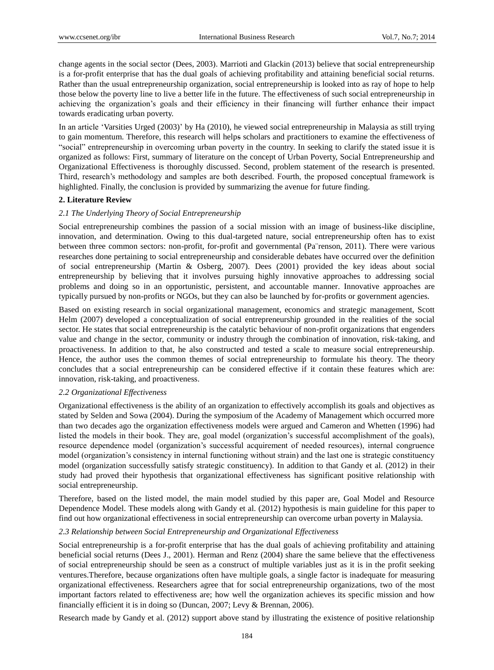change agents in the social sector (Dees, 2003). Marrioti and Glackin (2013) believe that social entrepreneurship is a for-profit enterprise that has the dual goals of achieving profitability and attaining beneficial social returns. Rather than the usual entrepreneurship organization, social entrepreneurship is looked into as ray of hope to help those below the poverty line to live a better life in the future. The effectiveness of such social entrepreneurship in achieving the organization"s goals and their efficiency in their financing will further enhance their impact towards eradicating urban poverty.

In an article "Varsities Urged (2003)" by Ha (2010), he viewed social entrepreneurship in Malaysia as still trying to gain momentum. Therefore, this research will helps scholars and practitioners to examine the effectiveness of "social" entrepreneurship in overcoming urban poverty in the country. In seeking to clarify the stated issue it is organized as follows: First, summary of literature on the concept of Urban Poverty, Social Entrepreneurship and Organizational Effectiveness is thoroughly discussed. Second, problem statement of the research is presented. Third, research's methodology and samples are both described. Fourth, the proposed conceptual framework is highlighted. Finally, the conclusion is provided by summarizing the avenue for future finding.

# **2. Literature Review**

# *2.1 The Underlying Theory of Social Entrepreneurship*

Social entrepreneurship combines the passion of a social mission with an image of business-like discipline, innovation, and determination. Owing to this dual-targeted nature, social entrepreneurship often has to exist between three common sectors: non-profit, for-profit and governmental (Pa 'renson, 2011). There were various researches done pertaining to social entrepreneurship and considerable debates have occurred over the definition of social entrepreneurship (Martin & Osberg, 2007). Dees (2001) provided the key ideas about social entrepreneurship by believing that it involves pursuing highly innovative approaches to addressing social problems and doing so in an opportunistic, persistent, and accountable manner. Innovative approaches are typically pursued by non-profits or NGOs, but they can also be launched by for-profits or government agencies.

Based on existing research in social organizational management, economics and strategic management, Scott Helm (2007) developed a conceptualization of social entrepreneurship grounded in the realities of the social sector. He states that social entrepreneurship is the catalytic behaviour of non-profit organizations that engenders value and change in the sector, community or industry through the combination of innovation, risk-taking, and proactiveness. In addition to that, he also constructed and tested a scale to measure social entrepreneurship. Hence, the author uses the common themes of social entrepreneurship to formulate his theory. The theory concludes that a social entrepreneurship can be considered effective if it contain these features which are: innovation, risk-taking, and proactiveness.

## *2.2 Organizational Effectiveness*

Organizational effectiveness is the ability of an organization to effectively accomplish its goals and objectives as stated by Selden and Sowa (2004). During the symposium of the Academy of Management which occurred more than two decades ago the organization effectiveness models were argued and Cameron and Whetten (1996) had listed the models in their book. They are, goal model (organization"s successful accomplishment of the goals), resource dependence model (organization"s successful acquirement of needed resources), internal congruence model (organization"s consistency in internal functioning without strain) and the last one is strategic constituency model (organization successfully satisfy strategic constituency). In addition to that Gandy et al. (2012) in their study had proved their hypothesis that organizational effectiveness has significant positive relationship with social entrepreneurship.

Therefore, based on the listed model, the main model studied by this paper are, Goal Model and Resource Dependence Model. These models along with Gandy et al. (2012) hypothesis is main guideline for this paper to find out how organizational effectiveness in social entrepreneurship can overcome urban poverty in Malaysia.

## *2.3 Relationship between Social Entrepreneurship and Organizational Effectiveness*

Social entrepreneurship is a for-profit enterprise that has the dual goals of achieving profitability and attaining beneficial social returns (Dees J., 2001). Herman and Renz (2004) share the same believe that the effectiveness of social entrepreneurship should be seen as a construct of multiple variables just as it is in the profit seeking ventures.Therefore, because organizations often have multiple goals, a single factor is inadequate for measuring organizational effectiveness. Researchers agree that for social entrepreneurship organizations, two of the most important factors related to effectiveness are; how well the organization achieves its specific mission and how financially efficient it is in doing so (Duncan, 2007; Levy & Brennan, 2006).

Research made by Gandy et al. (2012) support above stand by illustrating the existence of positive relationship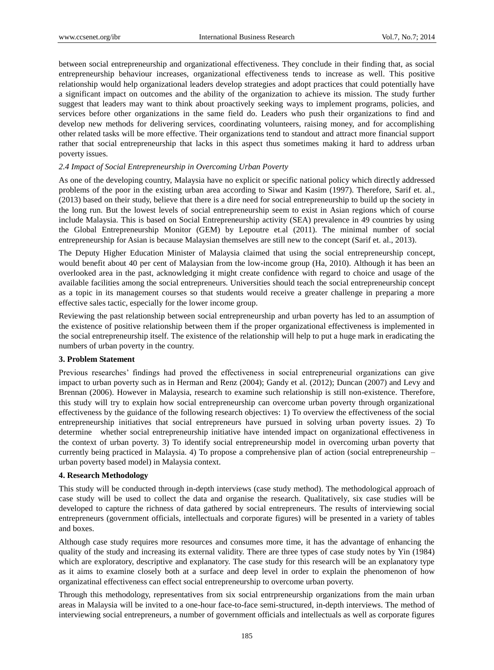between social entrepreneurship and organizational effectiveness. They conclude in their finding that, as social entrepreneurship behaviour increases, organizational effectiveness tends to increase as well. This positive relationship would help organizational leaders develop strategies and adopt practices that could potentially have a significant impact on outcomes and the ability of the organization to achieve its mission. The study further suggest that leaders may want to think about proactively seeking ways to implement programs, policies, and services before other organizations in the same field do. Leaders who push their organizations to find and develop new methods for delivering services, coordinating volunteers, raising money, and for accomplishing other related tasks will be more effective. Their organizations tend to standout and attract more financial support rather that social entrepreneurship that lacks in this aspect thus sometimes making it hard to address urban poverty issues.

#### *2.4 Impact of Social Entrepreneurship in Overcoming Urban Poverty*

As one of the developing country, Malaysia have no explicit or specific national policy which directly addressed problems of the poor in the existing urban area according to Siwar and Kasim (1997). Therefore, Sarif et. al., (2013) based on their study, believe that there is a dire need for social entrepreneurship to build up the society in the long run. But the lowest levels of social entrepreneurship seem to exist in Asian regions which of course include Malaysia. This is based on Social Entrepreneurship activity (SEA) prevalence in 49 countries by using the Global Entrepreneurship Monitor (GEM) by Lepoutre et.al (2011). The minimal number of social entrepreneurship for Asian is because Malaysian themselves are still new to the concept (Sarif et. al., 2013).

The Deputy Higher Education Minister of Malaysia claimed that using the social entrepreneurship concept, would benefit about 40 per cent of Malaysian from the low-income group (Ha, 2010). Although it has been an overlooked area in the past, acknowledging it might create confidence with regard to choice and usage of the available facilities among the social entrepreneurs. Universities should teach the social entrepreneurship concept as a topic in its management courses so that students would receive a greater challenge in preparing a more effective sales tactic, especially for the lower income group.

Reviewing the past relationship between social entrepreneurship and urban poverty has led to an assumption of the existence of positive relationship between them if the proper organizational effectiveness is implemented in the social entrepreneurship itself. The existence of the relationship will help to put a huge mark in eradicating the numbers of urban poverty in the country.

#### **3. Problem Statement**

Previous researches" findings had proved the effectiveness in social entrepreneurial organizations can give impact to urban poverty such as in Herman and Renz (2004); Gandy et al. (2012); Duncan (2007) and Levy and Brennan (2006). However in Malaysia, research to examine such relationship is still non-existence. Therefore, this study will try to explain how social entrepreneurship can overcome urban poverty through organizational effectiveness by the guidance of the following research objectives: 1) To overview the effectiveness of the social entrepreneurship initiatives that social entrepreneurs have pursued in solving urban poverty issues. 2) To determine whether social entrepreneurship initiative have intended impact on organizational effectiveness in the context of urban poverty. 3) To identify social entrepreneurship model in overcoming urban poverty that currently being practiced in Malaysia. 4) To propose a comprehensive plan of action (social entrepreneurship – urban poverty based model) in Malaysia context.

### **4. Research Methodology**

This study will be conducted through in-depth interviews (case study method). The methodological approach of case study will be used to collect the data and organise the research. Qualitatively, six case studies will be developed to capture the richness of data gathered by social entrepreneurs. The results of interviewing social entrepreneurs (government officials, intellectuals and corporate figures) will be presented in a variety of tables and boxes.

Although case study requires more resources and consumes more time, it has the advantage of enhancing the quality of the study and increasing its external validity. There are three types of case study notes by Yin (1984) which are exploratory, descriptive and explanatory. The case study for this research will be an explanatory type as it aims to examine closely both at a surface and deep level in order to explain the phenomenon of how organizatinal effectiveness can effect social entrepreneurship to overcome urban poverty.

Through this methodology, representatives from six social entrpreneurship organizations from the main urban areas in Malaysia will be invited to a one-hour face-to-face semi-structured, in-depth interviews. The method of interviewing social entrepreneurs, a number of government officials and intellectuals as well as corporate figures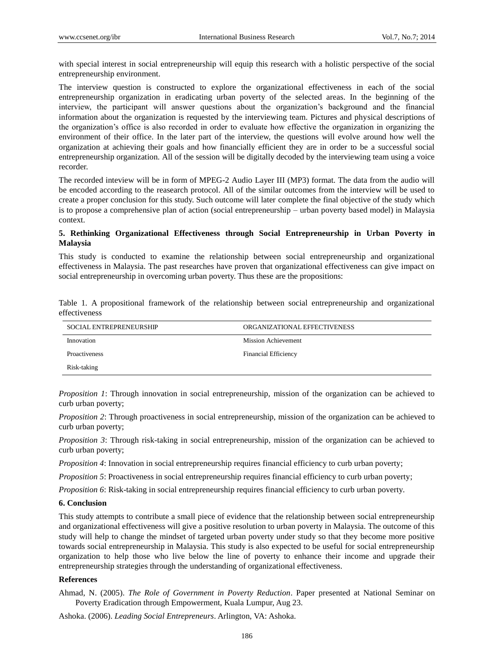with special interest in social entrepreneurship will equip this research with a holistic perspective of the social entrepreneurship environment.

The interview question is constructed to explore the organizational effectiveness in each of the social entrepreneurship organization in eradicating urban poverty of the selected areas. In the beginning of the interview, the participant will answer questions about the organization"s background and the financial information about the organization is requested by the interviewing team. Pictures and physical descriptions of the organization"s office is also recorded in order to evaluate how effective the organization in organizing the environment of their office. In the later part of the interview, the questions will evolve around how well the organization at achieving their goals and how financially efficient they are in order to be a successful social entrepreneurship organization. All of the session will be digitally decoded by the interviewing team using a voice recorder.

The recorded inteview will be in form of MPEG-2 Audio Layer III (MP3) format. The data from the audio will be encoded according to the reasearch protocol. All of the similar outcomes from the interview will be used to create a proper conclusion for this study. Such outcome will later complete the final objective of the study which is to propose a comprehensive plan of action (social entrepreneurship – urban poverty based model) in Malaysia context.

## **5. Rethinking Organizational Effectiveness through Social Entrepreneurship in Urban Poverty in Malaysia**

This study is conducted to examine the relationship between social entrepreneurship and organizational effectiveness in Malaysia. The past researches have proven that organizational effectiveness can give impact on social entrepreneurship in overcoming urban poverty. Thus these are the propositions:

Table 1. A propositional framework of the relationship between social entrepreneurship and organizational effectiveness

| <b>SOCIAL ENTREPRENEURSHIP</b> | ORGANIZATIONAL EFFECTIVENESS |  |
|--------------------------------|------------------------------|--|
| Innovation                     | <b>Mission Achievement</b>   |  |
| <b>Proactiveness</b>           | <b>Financial Efficiency</b>  |  |
| Risk-taking                    |                              |  |

*Proposition 1*: Through innovation in social entrepreneurship, mission of the organization can be achieved to curb urban poverty;

*Proposition 2*: Through proactiveness in social entrepreneurship, mission of the organization can be achieved to curb urban poverty;

*Proposition 3*: Through risk-taking in social entrepreneurship, mission of the organization can be achieved to curb urban poverty;

*Proposition 4*: Innovation in social entrepreneurship requires financial efficiency to curb urban poverty;

*Proposition 5*: Proactiveness in social entrepreneurship requires financial efficiency to curb urban poverty;

*Proposition 6*: Risk-taking in social entrepreneurship requires financial efficiency to curb urban poverty.

## **6. Conclusion**

This study attempts to contribute a small piece of evidence that the relationship between social entrepreneurship and organizational effectiveness will give a positive resolution to urban poverty in Malaysia. The outcome of this study will help to change the mindset of targeted urban poverty under study so that they become more positive towards social entrepreneurship in Malaysia. This study is also expected to be useful for social entrepreneurship organization to help those who live below the line of poverty to enhance their income and upgrade their entrepreneurship strategies through the understanding of organizational effectiveness.

# **References**

Ahmad, N. (2005). *The Role of Government in Poverty Reduction*. Paper presented at National Seminar on Poverty Eradication through Empowerment, Kuala Lumpur, Aug 23.

Ashoka. (2006). *Leading Social Entrepreneurs*. Arlington, VA: Ashoka.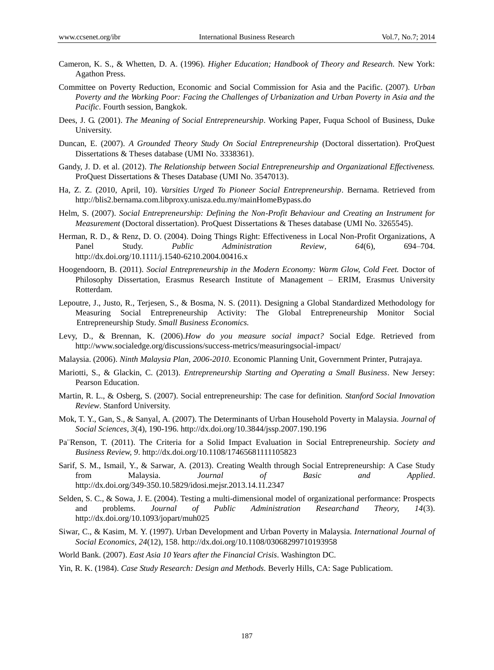- Cameron, K. S., & Whetten, D. A. (1996). *Higher Education; Handbook of Theory and Research.* New York: Agathon Press.
- Committee on Poverty Reduction, Economic and Social Commission for Asia and the Pacific. (2007). *Urban Poverty and the Working Poor: Facing the Challenges of Urbanization and Urban Poverty in Asia and the Pacific*. Fourth session, Bangkok.
- Dees, J. G. (2001). *The Meaning of Social Entrepreneurship*. Working Paper, Fuqua School of Business, Duke University.
- Duncan, E. (2007). *A Grounded Theory Study On Social Entrepreneurship* (Doctoral dissertation). ProQuest Dissertations & Theses database (UMI No. 3338361).
- Gandy, J. D. et al. (2012). *The Relationship between Social Entrepreneurship and Organizational Effectiveness.* ProQuest Dissertations & Theses Database (UMI No. 3547013).
- Ha, Z. Z. (2010, April, 10). *Varsities Urged To Pioneer Social Entrepreneurship*. Bernama. Retrieved from http://blis2.bernama.com.libproxy.unisza.edu.my/mainHomeBypass.do
- Helm, S. (2007). *Social Entrepreneurship: Defining the Non-Profit Behaviour and Creating an Instrument for Measurement* (Doctoral dissertation). ProQuest Dissertations & Theses database (UMI No. 3265545).
- Herman, R. D., & Renz, D. O. (2004). Doing Things Right: Effectiveness in Local Non-Profit Organizations, A Panel Study. *Public Administration Review, 64*(6), 694–704. http://dx.doi.org/10.1111/j.1540-6210.2004.00416.x
- Hoogendoorn, B. (2011). *Social Entrepreneurship in the Modern Economy: Warm Glow, Cold Feet.* Doctor of Philosophy Dissertation, Erasmus Research Institute of Management – ERIM, Erasmus University Rotterdam.
- Lepoutre, J., Justo, R., Terjesen, S., & Bosma, N. S. (2011). Designing a Global Standardized Methodology for Measuring Social Entrepreneurship Activity: The Global Entrepreneurship Monitor Social Entrepreneurship Study. *Small Business Economics.*
- Levy, D., & Brennan, K. (2006).*How do you measure social impact?* Social Edge. Retrieved from http://www.socialedge.org/discussions/success-metrics/measuringsocial-impact/
- Malaysia. (2006). *Ninth Malaysia Plan, 2006-2010*. Economic Planning Unit, Government Printer, Putrajaya.
- Mariotti, S., & Glackin, C. (2013). *Entrepreneurship Starting and Operating a Small Business*. New Jersey: Pearson Education.
- Martin, R. L., & Osberg, S. (2007). Social entrepreneurship: The case for definition. *Stanford Social Innovation Review*. Stanford University.
- Mok, T. Y., Gan, S., & Sanyal, A. (2007). The Determinants of Urban Household Poverty in Malaysia*. Journal of Social Sciences, 3*(4), 190-196. http://dx.doi.org/10.3844/jssp.2007.190.196
- Pa¨Renson, T. (2011). The Criteria for a Solid Impact Evaluation in Social Entrepreneurship. *Society and Business Review, 9*. http://dx.doi.org/10.1108/17465681111105823
- Sarif, S. M., Ismail, Y., & Sarwar, A. (2013). Creating Wealth through Social Entrepreneurship: A Case Study from Malaysia. *Journal of Basic and Applied*. http://dx.doi.org/349-350.10.5829/idosi.mejsr.2013.14.11.2347
- Selden, S. C., & Sowa, J. E. (2004). Testing a multi-dimensional model of organizational performance: Prospects and problems. *Journal of Public Administration Researchand Theory, 14*(3). http://dx.doi.org/10.1093/jopart/muh025
- Siwar, C., & Kasim, M. Y. (1997). Urban Development and Urban Poverty in Malaysia. *International Journal of Social Economics*, *24*(12), 158. http://dx.doi.org/10.1108/03068299710193958
- World Bank. (2007). *East Asia 10 Years after the Financial Crisis*. Washington DC.
- Yin, R. K. (1984). *Case Study Research: Design and Methods.* Beverly Hills, CA: Sage Publicatiom.